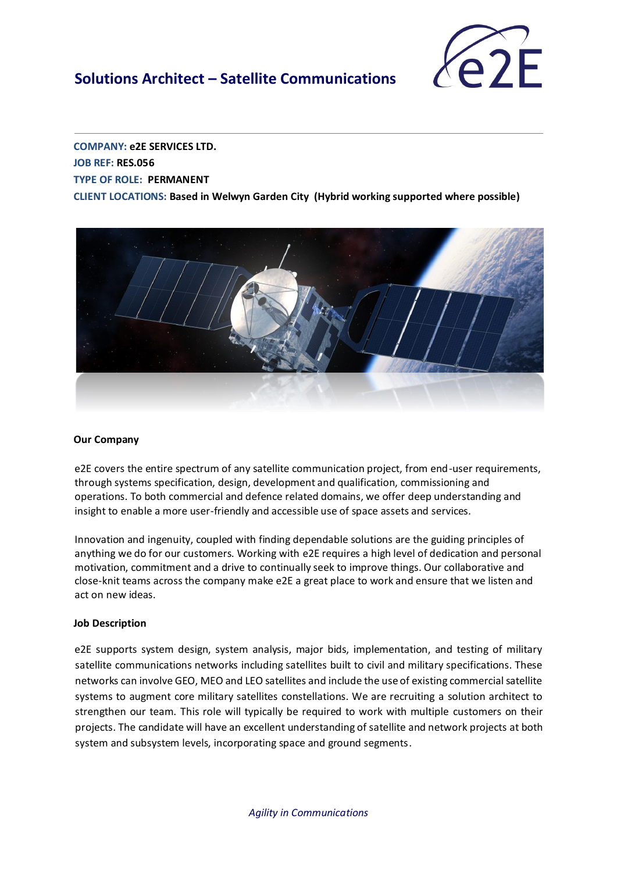## **Solutions Architect – Satellite Communications**



**COMPANY: e2E SERVICES LTD. JOB REF: RES.056 TYPE OF ROLE: PERMANENT CLIENT LOCATIONS: Based in Welwyn Garden City (Hybrid working supported where possible)**



#### **Our Company**

e2E covers the entire spectrum of any satellite communication project, from end-user requirements, through systems specification, design, development and qualification, commissioning and operations. To both commercial and defence related domains, we offer deep understanding and insight to enable a more user-friendly and accessible use of space assets and services.

Innovation and ingenuity, coupled with finding dependable solutions are the guiding principles of anything we do for our customers. Working with e2E requires a high level of dedication and personal motivation, commitment and a drive to continually seek to improve things. Our collaborative and close-knit teams across the company make e2E a great place to work and ensure that we listen and act on new ideas.

#### **Job Description**

e2E supports system design, system analysis, major bids, implementation, and testing of military satellite communications networks including satellites built to civil and military specifications. These networks can involve GEO, MEO and LEO satellites and include the use of existing commercial satellite systems to augment core military satellites constellations. We are recruiting a solution architect to strengthen our team. This role will typically be required to work with multiple customers on their projects. The candidate will have an excellent understanding of satellite and network projects at both system and subsystem levels, incorporating space and ground segments.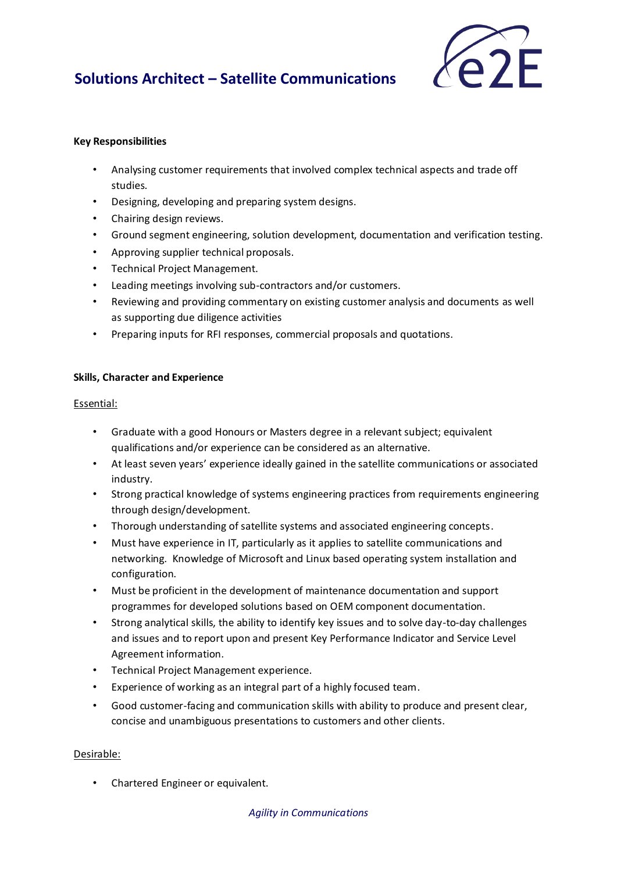# **Solutions Architect – Satellite Communications**



### **Key Responsibilities**

- Analysing customer requirements that involved complex technical aspects and trade off studies.
- Designing, developing and preparing system designs.
- Chairing design reviews.
- Ground segment engineering, solution development, documentation and verification testing.
- Approving supplier technical proposals.
- Technical Project Management.
- Leading meetings involving sub-contractors and/or customers.
- Reviewing and providing commentary on existing customer analysis and documents as well as supporting due diligence activities
- Preparing inputs for RFI responses, commercial proposals and quotations.

### **Skills, Character and Experience**

### Essential:

- Graduate with a good Honours or Masters degree in a relevant subject; equivalent qualifications and/or experience can be considered as an alternative.
- At least seven years' experience ideally gained in the satellite communications or associated industry.
- Strong practical knowledge of systems engineering practices from requirements engineering through design/development.
- Thorough understanding of satellite systems and associated engineering concepts.
- Must have experience in IT, particularly as it applies to satellite communications and networking. Knowledge of Microsoft and Linux based operating system installation and configuration.
- Must be proficient in the development of maintenance documentation and support programmes for developed solutions based on OEM component documentation.
- Strong analytical skills, the ability to identify key issues and to solve day-to-day challenges and issues and to report upon and present Key Performance Indicator and Service Level Agreement information.
- Technical Project Management experience.
- Experience of working as an integral part of a highly focused team.
- Good customer-facing and communication skills with ability to produce and present clear, concise and unambiguous presentations to customers and other clients.

### Desirable:

• Chartered Engineer or equivalent.